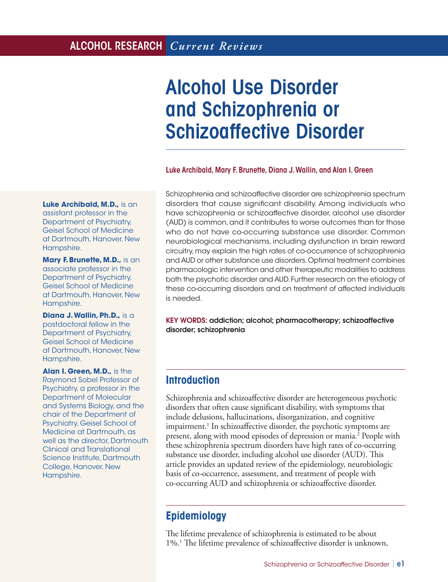# ALCOHOL RESEARCH *Current Reviews*

# Alcohol Use Disorder and Schizophrenia or Schizoaffective Disorder

#### Luke Archibald, Mary F. Brunette, Diana J. Wallin, and Alan I. Green

**Luke Archibald, M.D., is an** assistant professor in the Department of Psychiatry, Geisel School of Medicine at Dartmouth, Hanover, New Hampshire.

**Mary F. Brunette, M.D.,** is an associate professor in the Department of Psychiatry, Geisel School of Medicine at Dartmouth, Hanover, New Hampshire.

**Diana J. Wallin, Ph.D.,** is a postdoctoral fellow in the Department of Psychiatry, Geisel School of Medicine at Dartmouth, Hanover, New Hampshire.

**Alan I. Green, M.D.,** is the Raymond Sobel Professor of Psychiatry, a professor in the Department of Molecular and Systems Biology, and the chair of the Department of Psychiatry, Geisel School of Medicine at Dartmouth, as well as the director, Dartmouth Clinical and Translational Science Institute, Dartmouth College, Hanover, New Hampshire.

Schizophrenia and schizoaffective disorder are schizophrenia spectrum disorders that cause significant disability. Among individuals who have schizophrenia or schizoaffective disorder, alcohol use disorder (AUD) is common, and it contributes to worse outcomes than for those who do not have co-occurring substance use disorder. Common neurobiological mechanisms, including dysfunction in brain reward circuitry, may explain the high rates of co-occurrence of schizophrenia and AUD or other substance use disorders. Optimal treatment combines pharmacologic intervention and other therapeutic modalities to address both the psychotic disorder and AUD. Further research on the etiology of these co-occurring disorders and on treatment of affected individuals is needed.

KEY WORDS: addiction; alcohol; pharmacotherapy; schizoaffective disorder; schizophrenia

# **Introduction**

Schizophrenia and schizoaffective disorder are heterogeneous psychotic disorders that often cause significant disability, with symptoms that include delusions, hallucinations, disorganization, and cognitive impairment.<sup>1</sup> In schizoaffective disorder, the psychotic symptoms are present, along with mood episodes of depression or mania.<sup>2</sup> People with these schizophrenia spectrum disorders have high rates of co-occurring substance use disorder, including alcohol use disorder (AUD). This article provides an updated review of the epidemiology, neurobiologic basis of co-occurrence, assessment, and treatment of people with co-occurring AUD and schizophrenia or schizoaffective disorder.

# **Epidemiology**

The lifetime prevalence of schizophrenia is estimated to be about 1%.1 The lifetime prevalence of schizoaffective disorder is unknown,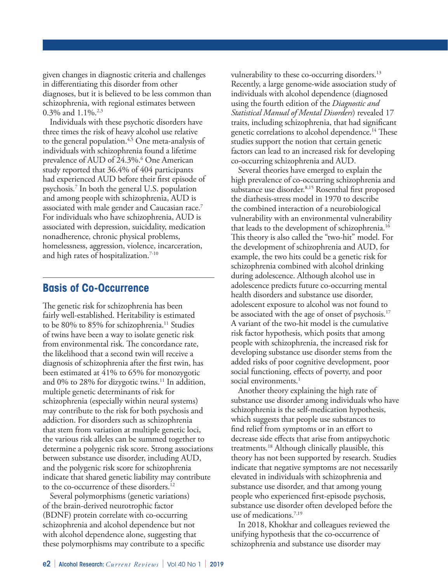given changes in diagnostic criteria and challenges in differentiating this disorder from other diagnoses, but it is believed to be less common than schizophrenia, with regional estimates between 0.3% and  $1.1\%$ .<sup>2,3</sup>

Individuals with these psychotic disorders have three times the risk of heavy alcohol use relative to the general population.<sup>4,5</sup> One meta-analysis of individuals with schizophrenia found a lifetime prevalence of AUD of 24.3%.<sup>6</sup> One American study reported that 36.4% of 404 participants had experienced AUD before their first episode of psychosis.7 In both the general U.S. population and among people with schizophrenia, AUD is associated with male gender and Caucasian race.7 For individuals who have schizophrenia, AUD is associated with depression, suicidality, medication nonadherence, chronic physical problems, homelessness, aggression, violence, incarceration, and high rates of hospitalization.<sup>7-10</sup>

## **Basis of Co-Occurrence**

The genetic risk for schizophrenia has been fairly well-established. Heritability is estimated to be 80% to 85% for schizophrenia.<sup>11</sup> Studies of twins have been a way to isolate genetic risk from environmental risk. The concordance rate, the likelihood that a second twin will receive a diagnosis of schizophrenia after the first twin, has been estimated at 41% to 65% for monozygotic and 0% to 28% for dizygotic twins.<sup>11</sup> In addition, multiple genetic determinants of risk for schizophrenia (especially within neural systems) may contribute to the risk for both psychosis and addiction. For disorders such as schizophrenia that stem from variation at multiple genetic loci, the various risk alleles can be summed together to determine a polygenic risk score. Strong associations between substance use disorder, including AUD, and the polygenic risk score for schizophrenia indicate that shared genetic liability may contribute to the co-occurrence of these disorders.<sup>12</sup>

Several polymorphisms (genetic variations) of the brain-derived neurotrophic factor (BDNF) protein correlate with co-occurring schizophrenia and alcohol dependence but not with alcohol dependence alone, suggesting that these polymorphisms may contribute to a specific vulnerability to these co-occurring disorders.<sup>13</sup> Recently, a large genome-wide association study of individuals with alcohol dependence (diagnosed using the fourth edition of the *Diagnostic and Statistical Manual of Mental Disorders*) revealed 17 traits, including schizophrenia, that had significant genetic correlations to alcohol dependence.<sup>14</sup> These studies support the notion that certain genetic factors can lead to an increased risk for developing co-occurring schizophrenia and AUD.

Several theories have emerged to explain the high prevalence of co-occurring schizophrenia and substance use disorder.<sup>8,15</sup> Rosenthal first proposed the diathesis-stress model in 1970 to describe the combined interaction of a neurobiological vulnerability with an environmental vulnerability that leads to the development of schizophrenia.16 This theory is also called the "two-hit" model. For the development of schizophrenia and AUD, for example, the two hits could be a genetic risk for schizophrenia combined with alcohol drinking during adolescence. Although alcohol use in adolescence predicts future co-occurring mental health disorders and substance use disorder, adolescent exposure to alcohol was not found to be associated with the age of onset of psychosis.<sup>17</sup> A variant of the two-hit model is the cumulative risk factor hypothesis, which posits that among people with schizophrenia, the increased risk for developing substance use disorder stems from the added risks of poor cognitive development, poor social functioning, effects of poverty, and poor social environments.<sup>1</sup>

Another theory explaining the high rate of substance use disorder among individuals who have schizophrenia is the self-medication hypothesis, which suggests that people use substances to find relief from symptoms or in an effort to decrease side effects that arise from antipsychotic treatments.18 Although clinically plausible, this theory has not been supported by research. Studies indicate that negative symptoms are not necessarily elevated in individuals with schizophrenia and substance use disorder, and that among young people who experienced first-episode psychosis, substance use disorder often developed before the use of medications.<sup>7,19</sup>

In 2018, Khokhar and colleagues reviewed the unifying hypothesis that the co-occurrence of schizophrenia and substance use disorder may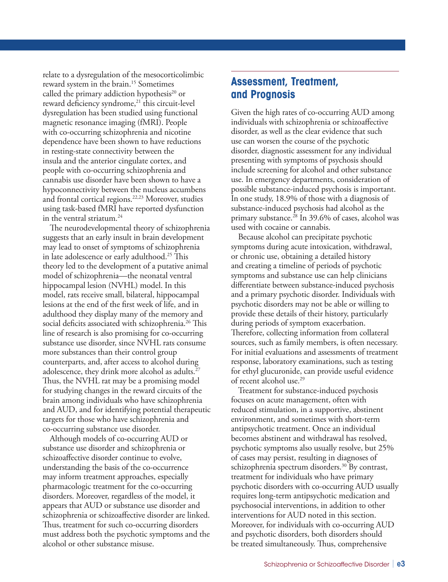relate to a dysregulation of the mesocorticolimbic reward system in the brain.<sup>15</sup> Sometimes called the primary addiction hypothesis<sup>20</sup> or reward deficiency syndrome,<sup>21</sup> this circuit-level dysregulation has been studied using functional magnetic resonance imaging (fMRI). People with co-occurring schizophrenia and nicotine dependence have been shown to have reductions in resting-state connectivity between the insula and the anterior cingulate cortex, and people with co-occurring schizophrenia and cannabis use disorder have been shown to have a hypoconnectivity between the nucleus accumbens and frontal cortical regions.22,23 Moreover, studies using task-based fMRI have reported dysfunction in the ventral striatum.<sup>24</sup>

The neurodevelopmental theory of schizophrenia suggests that an early insult in brain development may lead to onset of symptoms of schizophrenia in late adolescence or early adulthood.25 This theory led to the development of a putative animal model of schizophrenia—the neonatal ventral hippocampal lesion (NVHL) model. In this model, rats receive small, bilateral, hippocampal lesions at the end of the first week of life, and in adulthood they display many of the memory and social deficits associated with schizophrenia.<sup>26</sup> This line of research is also promising for co-occurring substance use disorder, since NVHL rats consume more substances than their control group counterparts, and, after access to alcohol during adolescence, they drink more alcohol as adults.<sup>27</sup> Thus, the NVHL rat may be a promising model for studying changes in the reward circuits of the brain among individuals who have schizophrenia and AUD, and for identifying potential therapeutic targets for those who have schizophrenia and co-occurring substance use disorder.

Although models of co-occurring AUD or substance use disorder and schizophrenia or schizoaffective disorder continue to evolve, understanding the basis of the co-occurrence may inform treatment approaches, especially pharmacologic treatment for the co-occurring disorders. Moreover, regardless of the model, it appears that AUD or substance use disorder and schizophrenia or schizoaffective disorder are linked. Thus, treatment for such co-occurring disorders must address both the psychotic symptoms and the alcohol or other substance misuse.

## **Assessment, Treatment, and Prognosis**

Given the high rates of co-occurring AUD among individuals with schizophrenia or schizoaffective disorder, as well as the clear evidence that such use can worsen the course of the psychotic disorder, diagnostic assessment for any individual presenting with symptoms of psychosis should include screening for alcohol and other substance use. In emergency departments, consideration of possible substance-induced psychosis is important. In one study, 18.9% of those with a diagnosis of substance-induced psychosis had alcohol as the primary substance.<sup>28</sup> In 39.6% of cases, alcohol was used with cocaine or cannabis.

Because alcohol can precipitate psychotic symptoms during acute intoxication, withdrawal, or chronic use, obtaining a detailed history and creating a timeline of periods of psychotic symptoms and substance use can help clinicians differentiate between substance-induced psychosis and a primary psychotic disorder. Individuals with psychotic disorders may not be able or willing to provide these details of their history, particularly during periods of symptom exacerbation. Therefore, collecting information from collateral sources, such as family members, is often necessary. For initial evaluations and assessments of treatment response, laboratory examinations, such as testing for ethyl glucuronide, can provide useful evidence of recent alcohol use.29

Treatment for substance-induced psychosis focuses on acute management, often with reduced stimulation, in a supportive, abstinent environment, and sometimes with short-term antipsychotic treatment. Once an individual becomes abstinent and withdrawal has resolved, psychotic symptoms also usually resolve, but 25% of cases may persist, resulting in diagnoses of schizophrenia spectrum disorders.<sup>30</sup> By contrast, treatment for individuals who have primary psychotic disorders with co-occurring AUD usually requires long-term antipsychotic medication and psychosocial interventions, in addition to other interventions for AUD noted in this section. Moreover, for individuals with co-occurring AUD and psychotic disorders, both disorders should be treated simultaneously. Thus, comprehensive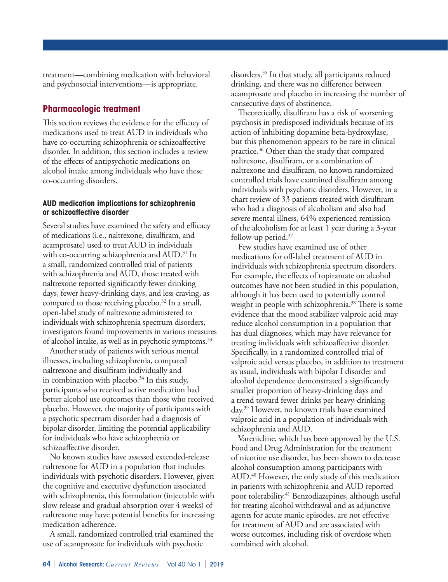treatment—combining medication with behavioral and psychosocial interventions—is appropriate.

## **Pharmacologic treatment**

This section reviews the evidence for the efficacy of medications used to treat AUD in individuals who have co-occurring schizophrenia or schizoaffective disorder. In addition, this section includes a review of the effects of antipsychotic medications on alcohol intake among individuals who have these co-occurring disorders.

#### **AUD medication implications for schizophrenia or schizoaffective disorder**

Several studies have examined the safety and efficacy of medications (i.e., naltrexone, disulfiram, and acamprosate) used to treat AUD in individuals with co-occurring schizophrenia and AUD.<sup>31</sup> In a small, randomized controlled trial of patients with schizophrenia and AUD, those treated with naltrexone reported significantly fewer drinking days, fewer heavy-drinking days, and less craving, as compared to those receiving placebo.<sup>32</sup> In a small, open-label study of naltrexone administered to individuals with schizophrenia spectrum disorders, investigators found improvements in various measures of alcohol intake, as well as in psychotic symptoms.<sup>33</sup>

Another study of patients with serious mental illnesses, including schizophrenia, compared naltrexone and disulfiram individually and in combination with placebo. $34$  In this study, participants who received active medication had better alcohol use outcomes than those who received placebo. However, the majority of participants with a psychotic spectrum disorder had a diagnosis of bipolar disorder, limiting the potential applicability for individuals who have schizophrenia or schizoaffective disorder.

No known studies have assessed extended-release naltrexone for AUD in a population that includes individuals with psychotic disorders. However, given the cognitive and executive dysfunction associated with schizophrenia, this formulation (injectable with slow release and gradual absorption over 4 weeks) of naltrexone may have potential benefits for increasing medication adherence.

A small, randomized controlled trial examined the use of acamprosate for individuals with psychotic

disorders.35 In that study, all participants reduced drinking, and there was no difference between acamprosate and placebo in increasing the number of consecutive days of abstinence.

Theoretically, disulfiram has a risk of worsening psychosis in predisposed individuals because of its action of inhibiting dopamine beta-hydroxylase, but this phenomenon appears to be rare in clinical practice.36 Other than the study that compared naltrexone, disulfiram, or a combination of naltrexone and disulfiram, no known randomized controlled trials have examined disulfiram among individuals with psychotic disorders. However, in a chart review of 33 patients treated with disulfiram who had a diagnosis of alcoholism and also had severe mental illness, 64% experienced remission of the alcoholism for at least 1 year during a 3-year follow-up period.37

Few studies have examined use of other medications for off-label treatment of AUD in individuals with schizophrenia spectrum disorders. For example, the effects of topiramate on alcohol outcomes have not been studied in this population, although it has been used to potentially control weight in people with schizophrenia.<sup>38</sup> There is some evidence that the mood stabilizer valproic acid may reduce alcohol consumption in a population that has dual diagnoses, which may have relevance for treating individuals with schizoaffective disorder. Specifically, in a randomized controlled trial of valproic acid versus placebo, in addition to treatment as usual, individuals with bipolar I disorder and alcohol dependence demonstrated a significantly smaller proportion of heavy-drinking days and a trend toward fewer drinks per heavy-drinking day.39 However, no known trials have examined valproic acid in a population of individuals with schizophrenia and AUD.

Varenicline, which has been approved by the U.S. Food and Drug Administration for the treatment of nicotine use disorder, has been shown to decrease alcohol consumption among participants with AUD.40 However, the only study of this medication in patients with schizophrenia and AUD reported poor tolerability.41 Benzodiazepines, although useful for treating alcohol withdrawal and as adjunctive agents for acute manic episodes, are not effective for treatment of AUD and are associated with worse outcomes, including risk of overdose when combined with alcohol.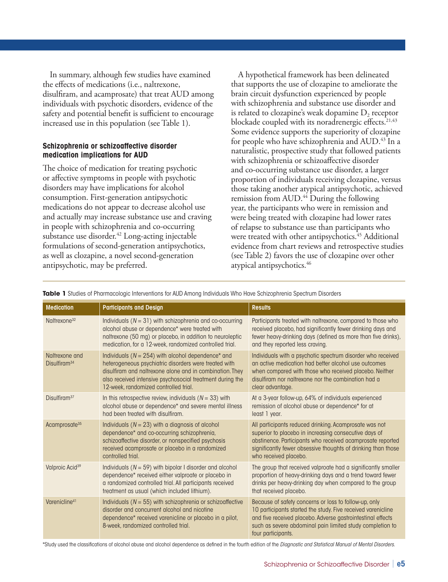In summary, although few studies have examined the effects of medications (i.e., naltrexone, disulfiram, and acamprosate) that treat AUD among individuals with psychotic disorders, evidence of the safety and potential benefit is sufficient to encourage increased use in this population (see Table 1).

#### **Schizophrenia or schizoaffective disorder medication implications for AUD**

The choice of medication for treating psychotic or affective symptoms in people with psychotic disorders may have implications for alcohol consumption. First-generation antipsychotic medications do not appear to decrease alcohol use and actually may increase substance use and craving in people with schizophrenia and co-occurring substance use disorder.<sup>42</sup> Long-acting injectable formulations of second-generation antipsychotics, as well as clozapine, a novel second-generation antipsychotic, may be preferred.

A hypothetical framework has been delineated that supports the use of clozapine to ameliorate the brain circuit dysfunction experienced by people with schizophrenia and substance use disorder and is related to clozapine's weak dopamine  $D<sub>2</sub>$  receptor blockade coupled with its noradrenergic effects.<sup>21,43</sup> Some evidence supports the superiority of clozapine for people who have schizophrenia and AUD.<sup>43</sup> In a naturalistic, prospective study that followed patients with schizophrenia or schizoaffective disorder and co-occurring substance use disorder, a larger proportion of individuals receiving clozapine, versus those taking another atypical antipsychotic, achieved remission from AUD.<sup>44</sup> During the following year, the participants who were in remission and were being treated with clozapine had lower rates of relapse to substance use than participants who were treated with other antipsychotics.<sup>45</sup> Additional evidence from chart reviews and retrospective studies (see Table 2) favors the use of clozapine over other atypical antipsychotics.46

| <b>Medication</b>                          | <b>Participants and Design</b>                                                                                                                                                                                                                                                    | <b>Results</b>                                                                                                                                                                                                                                                          |
|--------------------------------------------|-----------------------------------------------------------------------------------------------------------------------------------------------------------------------------------------------------------------------------------------------------------------------------------|-------------------------------------------------------------------------------------------------------------------------------------------------------------------------------------------------------------------------------------------------------------------------|
| Naltrexone <sup>32</sup>                   | Individuals ( $N = 31$ ) with schizophrenia and co-occurring<br>alcohol abuse or dependence* were treated with<br>naltrexone (50 mg) or placebo, in addition to neuroleptic<br>medication, for a 12-week, randomized controlled trial.                                            | Participants treated with naltrexone, compared to those who<br>received placebo, had significantly fewer drinking days and<br>fewer heavy-drinking days (defined as more than five drinks),<br>and they reported less craving.                                          |
| Naltrexone and<br>Disulfiram <sup>34</sup> | Individuals ( $N = 254$ ) with alcohol dependence* and<br>heterogeneous psychiatric disorders were treated with<br>disulfiram and naltrexone alone and in combination. They<br>also received intensive psychosocial treatment during the<br>12-week, randomized controlled trial. | Individuals with a psychotic spectrum disorder who received<br>an active medication had better alcohol use outcomes<br>when compared with those who received placebo. Neither<br>disulfiram nor naltrexone nor the combination had a<br>clear advantage.                |
| Disulfiram <sup>37</sup>                   | In this retrospective review, individuals ( $N = 33$ ) with<br>alcohol abuse or dependence* and severe mental illness<br>had been treated with disulfiram.                                                                                                                        | At a 3-year follow-up, 64% of individuals experienced<br>remission of alcohol abuse or dependence* for at<br>least 1 year.                                                                                                                                              |
| Acamprosate <sup>35</sup>                  | Individuals ( $N = 23$ ) with a diagnosis of alcohol<br>dependence* and co-occurring schizophrenia,<br>schizoaffective disorder, or nonspecified psychosis<br>received acamprosate or placebo in a randomized<br>controlled trial.                                                | All participants reduced drinking. Acamprosate was not<br>superior to placebo in increasing consecutive days of<br>abstinence. Participants who received acamprosate reported<br>significantly fewer obsessive thoughts of drinking than those<br>who received placebo. |
| Valproic Acid <sup>39</sup>                | Individuals ( $N = 59$ ) with bipolar I disorder and alcohol<br>dependence* received either valproate or placebo in<br>a randomized controlled trial. All participants received<br>treatment as usual (which included lithium).                                                   | The group that received valproate had a significantly smaller<br>proportion of heavy-drinking days and a trend toward fewer<br>drinks per heavy-drinking day when compared to the group<br>that received placebo.                                                       |
| Varenicline <sup>41</sup>                  | Individuals ( $N = 55$ ) with schizophrenia or schizoaffective<br>disorder and concurrent alcohol and nicotine<br>dependence* received varenicline or placebo in a pilot,<br>8-week, randomized controlled trial.                                                                 | Because of safety concerns or loss to follow-up, only<br>10 participants started the study. Five received varenicline<br>and five received placebo. Adverse gastrointestinal effects<br>such as severe abdominal pain limited study completion to<br>four participants. |

**Table 1** Studies of Pharmacologic Interventions for AUD Among Individuals Who Have Schizophrenia Spectrum Disorders

\*Study used the classifications of alcohol abuse and alcohol dependence as defined in the fourth edition of the *Diagnostic and Statistical Manual of Mental Disorders*.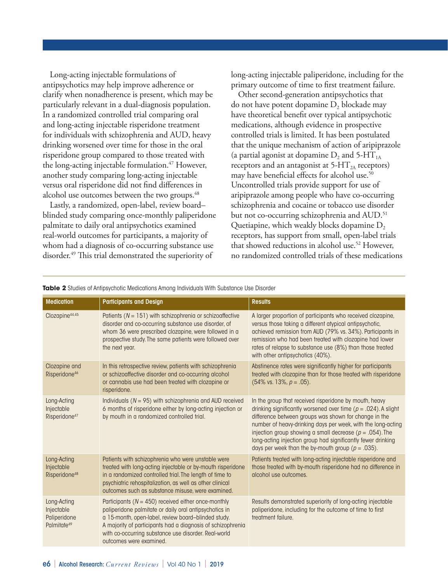Long-acting injectable formulations of antipsychotics may help improve adherence or clarify when nonadherence is present, which may be particularly relevant in a dual-diagnosis population. In a randomized controlled trial comparing oral and long-acting injectable risperidone treatment for individuals with schizophrenia and AUD, heavy drinking worsened over time for those in the oral risperidone group compared to those treated with the long-acting injectable formulation.<sup>47</sup> However, another study comparing long-acting injectable versus oral risperidone did not find differences in alcohol use outcomes between the two groups.<sup>48</sup>

Lastly, a randomized, open-label, review board– blinded study comparing once-monthly paliperidone palmitate to daily oral antipsychotics examined real-world outcomes for participants, a majority of whom had a diagnosis of co-occurring substance use disorder.49 This trial demonstrated the superiority of

long-acting injectable paliperidone, including for the primary outcome of time to first treatment failure.

Other second-generation antipsychotics that do not have potent dopamine  $D_2$  blockade may have theoretical benefit over typical antipsychotic medications, although evidence in prospective controlled trials is limited. It has been postulated that the unique mechanism of action of aripiprazole (a partial agonist at dopamine  $D_2$  and 5-HT<sub>1A</sub> receptors and an antagonist at  $5-HT<sub>2A</sub>$  receptors) may have beneficial effects for alcohol use.<sup>50</sup> Uncontrolled trials provide support for use of aripiprazole among people who have co-occurring schizophrenia and cocaine or tobacco use disorder but not co-occurring schizophrenia and AUD.<sup>51</sup> Quetiapine, which weakly blocks dopamine  $D<sub>2</sub>$ receptors, has support from small, open-label trials that showed reductions in alcohol use.<sup>52</sup> However, no randomized controlled trials of these medications

| <b>Medication</b>                                                    | <b>Participants and Design</b>                                                                                                                                                                                                                                                                                             | <b>Results</b>                                                                                                                                                                                                                                                                                                                                                                                                                                 |
|----------------------------------------------------------------------|----------------------------------------------------------------------------------------------------------------------------------------------------------------------------------------------------------------------------------------------------------------------------------------------------------------------------|------------------------------------------------------------------------------------------------------------------------------------------------------------------------------------------------------------------------------------------------------------------------------------------------------------------------------------------------------------------------------------------------------------------------------------------------|
| Clozapine <sup>44,45</sup>                                           | Patients ( $N = 151$ ) with schizophrenia or schizoaffective<br>disorder and co-occurring substance use disorder, of<br>whom 36 were prescribed clozapine, were followed in a<br>prospective study. The same patients were followed over<br>the next year.                                                                 | A larger proportion of participants who received clozapine,<br>versus those taking a different atypical antipsychotic,<br>achieved remission from AUD (79% vs. 34%). Participants in<br>remission who had been treated with clozapine had lower<br>rates of relapse to substance use (8%) than those treated<br>with other antipsychotics (40%).                                                                                               |
| Clozapine and<br>Risperidone <sup>46</sup>                           | In this retrospective review, patients with schizophrenia<br>or schizoaffective disorder and co-occurring alcohol<br>or cannabis use had been treated with clozapine or<br>risperidone.                                                                                                                                    | Abstinence rates were significantly higher for participants<br>treated with clozapine than for those treated with risperidone<br>$(54\% \text{ vs. } 13\%, p = .05).$                                                                                                                                                                                                                                                                          |
| Long-Acting<br>Injectable<br>Risperidone <sup>47</sup>               | Individuals ( $N = 95$ ) with schizophrenia and AUD received<br>6 months of risperidone either by long-acting injection or<br>by mouth in a randomized controlled trial.                                                                                                                                                   | In the group that received risperidone by mouth, heavy<br>drinking significantly worsened over time ( $p = .024$ ). A slight<br>difference between groups was shown for change in the<br>number of heavy-drinking days per week, with the long-acting<br>injection group showing a small decrease ( $p = .054$ ). The<br>long-acting injection group had significantly fewer drinking<br>days per week than the by-mouth group ( $p = .035$ ). |
| Long-Acting<br>Injectable<br>Risperidone <sup>48</sup>               | Patients with schizophrenia who were unstable were<br>treated with long-acting injectable or by-mouth risperidone<br>in a randomized controlled trial. The length of time to<br>psychiatric rehospitalization, as well as other clinical<br>outcomes such as substance misuse, were examined.                              | Patients treated with long-acting injectable risperidone and<br>those treated with by-mouth risperidone had no difference in<br>alcohol use outcomes.                                                                                                                                                                                                                                                                                          |
| Long-Acting<br>Injectable<br>Paliperidone<br>Palmitate <sup>49</sup> | Participants ( $N = 450$ ) received either once-monthly<br>paliperidone palmitate or daily oral antipsychotics in<br>a 15-month, open-label, review board-blinded study.<br>A majority of participants had a diagnosis of schizophrenia<br>with co-occurring substance use disorder. Real-world<br>outcomes were examined. | Results demonstrated superiority of long-acting injectable<br>paliperidone, including for the outcome of time to first<br>treatment failure.                                                                                                                                                                                                                                                                                                   |

**Table 2** Studies of Antipsychotic Medications Among Individuals With Substance Use Disorder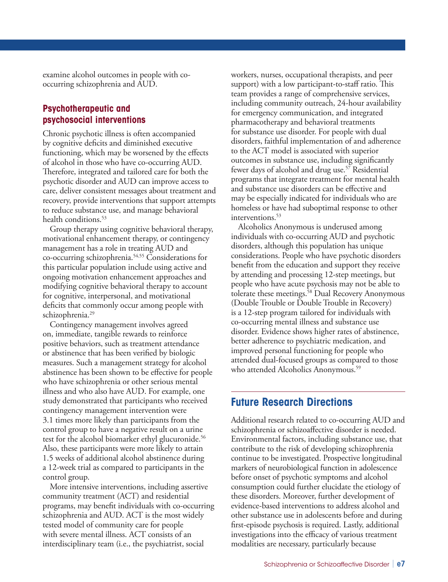examine alcohol outcomes in people with cooccurring schizophrenia and AUD.

## **Psychotherapeutic and psychosocial interventions**

Chronic psychotic illness is often accompanied by cognitive deficits and diminished executive functioning, which may be worsened by the effects of alcohol in those who have co-occurring AUD. Therefore, integrated and tailored care for both the psychotic disorder and AUD can improve access to care, deliver consistent messages about treatment and recovery, provide interventions that support attempts to reduce substance use, and manage behavioral health conditions.<sup>53</sup>

Group therapy using cognitive behavioral therapy, motivational enhancement therapy, or contingency management has a role in treating AUD and co-occurring schizophrenia.54,55 Considerations for this particular population include using active and ongoing motivation enhancement approaches and modifying cognitive behavioral therapy to account for cognitive, interpersonal, and motivational deficits that commonly occur among people with schizophrenia.<sup>29</sup>

Contingency management involves agreed on, immediate, tangible rewards to reinforce positive behaviors, such as treatment attendance or abstinence that has been verified by biologic measures. Such a management strategy for alcohol abstinence has been shown to be effective for people who have schizophrenia or other serious mental illness and who also have AUD. For example, one study demonstrated that participants who received contingency management intervention were 3.1 times more likely than participants from the control group to have a negative result on a urine test for the alcohol biomarker ethyl glucuronide.<sup>56</sup> Also, these participants were more likely to attain 1.5 weeks of additional alcohol abstinence during a 12-week trial as compared to participants in the control group.

More intensive interventions, including assertive community treatment (ACT) and residential programs, may benefit individuals with co-occurring schizophrenia and AUD. ACT is the most widely tested model of community care for people with severe mental illness. ACT consists of an interdisciplinary team (i.e., the psychiatrist, social

workers, nurses, occupational therapists, and peer support) with a low participant-to-staff ratio. This team provides a range of comprehensive services, including community outreach, 24-hour availability for emergency communication, and integrated pharmacotherapy and behavioral treatments for substance use disorder. For people with dual disorders, faithful implementation of and adherence to the ACT model is associated with superior outcomes in substance use, including significantly fewer days of alcohol and drug use.<sup>57</sup> Residential programs that integrate treatment for mental health and substance use disorders can be effective and may be especially indicated for individuals who are homeless or have had suboptimal response to other interventions.<sup>53</sup>

Alcoholics Anonymous is underused among individuals with co-occurring AUD and psychotic disorders, although this population has unique considerations. People who have psychotic disorders benefit from the education and support they receive by attending and processing 12-step meetings, but people who have acute psychosis may not be able to tolerate these meetings.<sup>58</sup> Dual Recovery Anonymous (Double Trouble or Double Trouble in Recovery) is a 12-step program tailored for individuals with co-occurring mental illness and substance use disorder. Evidence shows higher rates of abstinence, better adherence to psychiatric medication, and improved personal functioning for people who attended dual-focused groups as compared to those who attended Alcoholics Anonymous.<sup>59</sup>

## **Future Research Directions**

Additional research related to co-occurring AUD and schizophrenia or schizoaffective disorder is needed. Environmental factors, including substance use, that contribute to the risk of developing schizophrenia continue to be investigated. Prospective longitudinal markers of neurobiological function in adolescence before onset of psychotic symptoms and alcohol consumption could further elucidate the etiology of these disorders. Moreover, further development of evidence-based interventions to address alcohol and other substance use in adolescents before and during first-episode psychosis is required. Lastly, additional investigations into the efficacy of various treatment modalities are necessary, particularly because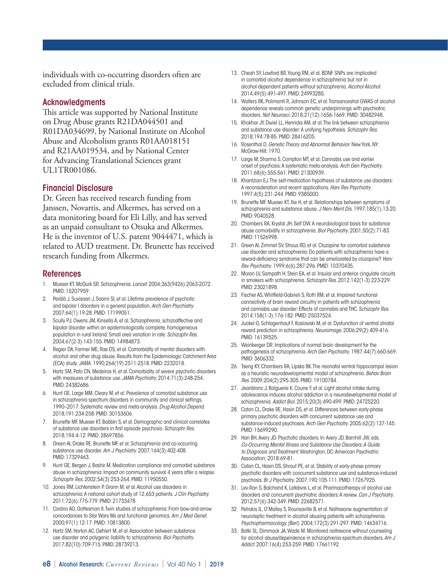individuals with co-occurring disorders often are excluded from clinical trials.

#### **Acknowledgments**

This article was supported by National Institute on Drug Abuse grants R21DA044501 and R01DA034699, by National Institute on Alcohol Abuse and Alcoholism grants R01AA018151 and R21AA019534, and by National Center for Advancing Translational Sciences grant UL1TR001086.

#### Financial Disclosure

Dr. Green has received research funding from Janssen, Novartis, and Alkermes, has served on a data monitoring board for Eli Lilly, and has served as an unpaid consultant to Otsuka and Alkermes. He is the inventor of U.S. patent 9044471, which is related to AUD treatment. Dr. Brunette has received research funding from Alkermes.

#### References

- 1. Mueser KT, McGurk SR. Schizophrenia. *Lancet*. 2004;363(9426):2063-2072. PMID: 15207959.
- 2. Perälä J, Suvisaari J, Saarni SI, et al. Lifetime prevalence of psychotic and bipolar I disorders in a general population. *Arch Gen Psychiatry*. 2007;64(1):19-28. PMID: 17199051.
- 3. Scully PJ, Owens JM, Kinsella A, et al. Schizophrenia, schizoaffective and bipolar disorder within an epidemiologically complete, homogeneous population in rural Ireland: Small area variation in rate. *Schizophr Res*. 2004;67(2-3):143-155. PMID: 14984873.
- 4. Regier DA, Farmer ME, Rae DS, et al. Comorbidity of mental disorders with alcohol and other drug abuse. Results from the Epidemiologic Catchment Area (ECA) study. *JAMA.* 1990;264(19):2511-2518. PMID: 2232018.
- 5. Hartz SM, Pato CN, Medeiros H, et al. Comorbidity of severe psychotic disorders with measures of substance use. *JAMA Psychiatry*. 2014;71(3):248-254. PMID: 24382686.
- 6. Hunt GE, Large MM, Cleary M, et al. Prevalence of comorbid substance use in schizophrenia spectrum disorders in community and clinical settings, 1990–2017: Systematic review and meta-analysis. *Drug Alcohol Depend*. 2018;191:234-258. PMID: 30153606.
- 7. Brunette MF, Mueser KT, Babbin S, et al. Demographic and clinical correlates of substance use disorders in first episode psychosis. *Schizophr Res*. 2018;194:4-12. PMID: 28697856.
- 8. Green AI, Drake RE, Brunette MF, et al. Schizophrenia and co-occurring substance use disorder. *Am J Psychiatry*. 2007;164(3):402-408. PMID: 17329463.
- 9. Hunt GE, Bergen J, Bashir M. Medication compliance and comorbid substance abuse in schizophrenia: Impact on community survival 4 years after a relapse. *Schizophr Res*. 2002;54(3):253-264. PMID: 11950550.
- 10. Jones RM, Lichtenstein P, Grann M, et al. Alcohol use disorders in schizophrenia: A national cohort study of 12,653 patients. *J Clin Psychiatry*. 2011;72(6):775-779. PMID: 21733478.
- 11. Cardno AG, Gottesman II. Twin studies of schizophrenia: From bow-and-arrow concordances to Star Wars Mx and functional genomics. *Am J Med Genet*. 2000;97(1):12-17. PMID: 10813800.
- 12. Hartz SM, Horton AC, Oehlert M, et al. Association between substance use disorder and polygenic liability to schizophrenia. *Biol Psychiatry*. 2017;82(10):709-715. PMID: 28739213.
- 13. Cheah SY, Lawford BR, Young RM, et al. BDNF SNPs are implicated in comorbid alcohol dependence in schizophrenia but not in alcohol-dependent patients without schizophrenia. *Alcohol Alcohol*. 2014;49(5):491-497. PMID: 24993285.
- 14. Walters RK, Polimanti R, Johnson EC, et al. Transancestral GWAS of alcohol dependence reveals common genetic underpinnings with psychiatric disorders. *Nat Neurosci*. 2018;21(12):1656-1669. PMID: 30482948.
- 15. Khokhar JY, Dwiel LL, Henricks AM, et al. The link between schizophrenia and substance use disorder: A unifying hypothesis. *Schizophr Res*. 2018;194:78-85. PMID: 28416205.
- 16. Rosenthal D. *Genetic Theory and Abnormal Behavior*. New York, NY: McGraw-Hill; 1970.
- 17. Large M, Sharma S, Compton MT, et al. Cannabis use and earlier onset of psychosis: A systematic meta-analysis. *Arch Gen Psychiatry*. 2011;68(6):555-561. PMID: 21300939.
- 18. Khantzian EJ. The self-medication hypothesis of substance use disorders: A reconsideration and recent applications. *Harv Rev Psychiatry*. 1997;4(5):231-244. PMID: 9385000.
- 19. Brunette MF, Mueser KT, Xie H, et al. Relationships between symptoms of schizophrenia and substance abuse. *J Nerv Ment Dis*. 1997;185(1):13-20. PMID: 9040528.
- 20. Chambers RA, Krystal JH, Self DW. A neurobiological basis for substance abuse comorbidity in schizophrenia. *Biol Psychiatry*. 2001;50(2):71-83. PMID: 11526998.
- 21. Green AI, Zimmet SV, Strous RD, et al. Clozapine for comorbid substance use disorder and schizophrenia: Do patients with schizophrenia have a reward-deficiency syndrome that can be ameliorated by clozapine? *Harv Rev Psychiatry*. 1999;6(6):287-296. PMID: 10370435.
- 22. Moran LV, Sampath H, Stein EA, et al. Insular and anterior cingulate circuits in smokers with schizophrenia. *Schizophr Res*. 2012;142(1-3):223-229. PMID: 23021898.
- 23. Fischer AS, Whitfield-Gabrieli S, Roth RM, et al. Impaired functional connectivity of brain reward circuitry in patients with schizophrenia and cannabis use disorder: Effects of cannabis and THC. *Schizophr Res*. 2014;158(1-3):176-182. PMID: 25037524.
- 24. Juckel G, Schlagenhauf F, Koslowski M, et al. Dysfunction of ventral striatal reward prediction in schizophrenia. *Neuroimage*. 2006;29(2):409-416. PMID: 16139525.
- 25. Weinberger DR. Implications of normal brain development for the pathogenesis of schizophrenia. *Arch Gen Psychiatry*. 1987;44(7):660-669. PMID: 3606332.
- 26. Tseng KY, Chambers RA, Lipska BK. The neonatal ventral hippocampal lesion as a heuristic neurodevelopmental model of schizophrenia. *Behav Brain Res*. 2009;204(2):295-305. PMID: 19100784.
- 27. Jeanblanc J, Balguerie K, Coune F, et al. Light alcohol intake during adolescence induces alcohol addiction in a neurodevelopmental model of schizophrenia. *Addict Biol*. 2015;20(3):490-499. PMID: 24725220.
- 28. Caton CL, Drake RE, Hasin DS, et al. Differences between early-phase primary psychotic disorders with concurrent substance use and substance-induced psychoses. *Arch Gen Psychiatry*. 2005;62(2):137-145. PMID: 15699290.
- 29. Han BH, Avery JD. Psychotic disorders. In: Avery JD, Barnhill JW, eds. *Co-Occurring Mental Illness and Substance Use Disorders: A Guide to Diagnosis and Treatment*. Washington, DC: American Psychiatric Association; 2018:69-81.
- 30. Caton CL, Hasin DS, Shrout PE, et al. Stability of early-phase primary psychotic disorders with concurrent substance use and substance-induced psychosis. *Br J Psychiatry*. 2007;190:105-111. PMID: 17267925.
- 31. Lev-Ran S, Balchand K, Lefebvre L, et al. Pharmacotherapy of alcohol use disorders and concurrent psychiatric disorders: A review. *Can J Psychiatry*. 2012;57(6):342-349. PMID: 22682571.
- 32. Petrakis IL, O'Malley S, Rounsaville B, et al. Naltrexone augmentation of neuroleptic treatment in alcohol abusing patients with schizophrenia. *Psychopharmacology (Berl)*. 2004;172(3):291-297. PMID: 14634716.
- 33. Batki SL, Dimmock JA, Wade M. Monitored naltrexone without counseling for alcohol abuse/dependence in schizophrenia-spectrum disorders. *Am J Addict*. 2007;16(4):253-259. PMID: 17661192.